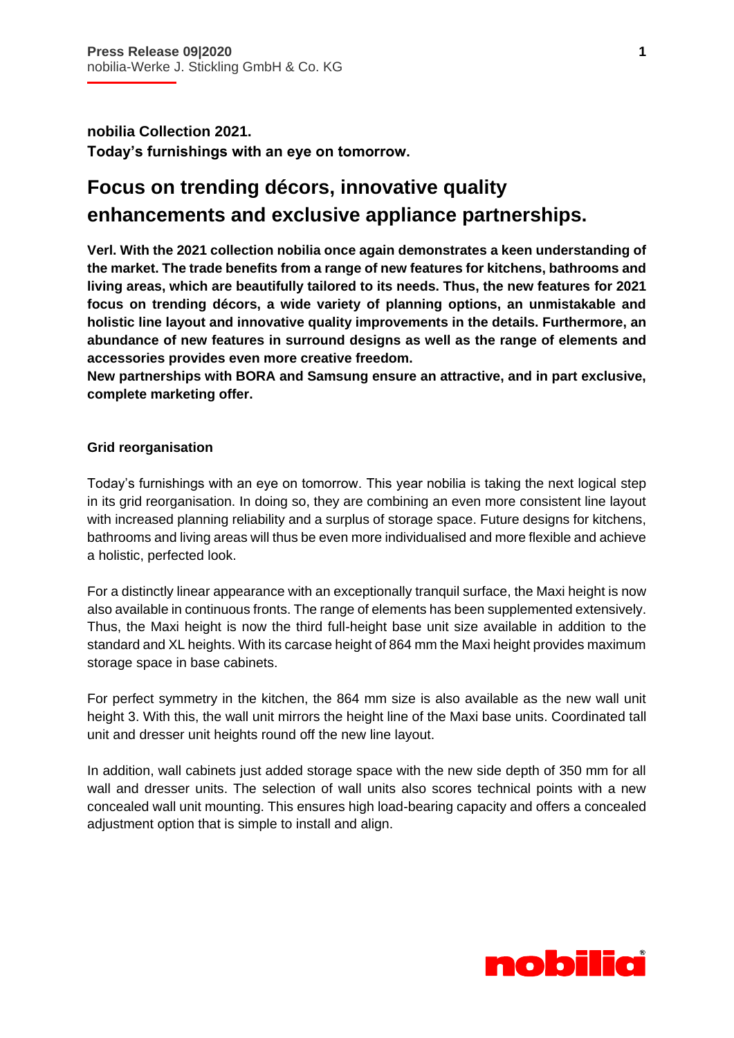İ

**nobilia Collection 2021. Today's furnishings with an eye on tomorrow.**

# **Focus on trending décors, innovative quality enhancements and exclusive appliance partnerships.**

**Verl. With the 2021 collection nobilia once again demonstrates a keen understanding of the market. The trade benefits from a range of new features for kitchens, bathrooms and living areas, which are beautifully tailored to its needs. Thus, the new features for 2021 focus on trending décors, a wide variety of planning options, an unmistakable and holistic line layout and innovative quality improvements in the details. Furthermore, an abundance of new features in surround designs as well as the range of elements and accessories provides even more creative freedom.** 

**New partnerships with BORA and Samsung ensure an attractive, and in part exclusive, complete marketing offer.** 

# **Grid reorganisation**

Today's furnishings with an eye on tomorrow. This year nobilia is taking the next logical step in its grid reorganisation. In doing so, they are combining an even more consistent line layout with increased planning reliability and a surplus of storage space. Future designs for kitchens, bathrooms and living areas will thus be even more individualised and more flexible and achieve a holistic, perfected look.

For a distinctly linear appearance with an exceptionally tranquil surface, the Maxi height is now also available in continuous fronts. The range of elements has been supplemented extensively. Thus, the Maxi height is now the third full-height base unit size available in addition to the standard and XL heights. With its carcase height of 864 mm the Maxi height provides maximum storage space in base cabinets.

For perfect symmetry in the kitchen, the 864 mm size is also available as the new wall unit height 3. With this, the wall unit mirrors the height line of the Maxi base units. Coordinated tall unit and dresser unit heights round off the new line layout.

In addition, wall cabinets just added storage space with the new side depth of 350 mm for all wall and dresser units. The selection of wall units also scores technical points with a new concealed wall unit mounting. This ensures high load-bearing capacity and offers a concealed adjustment option that is simple to install and align.

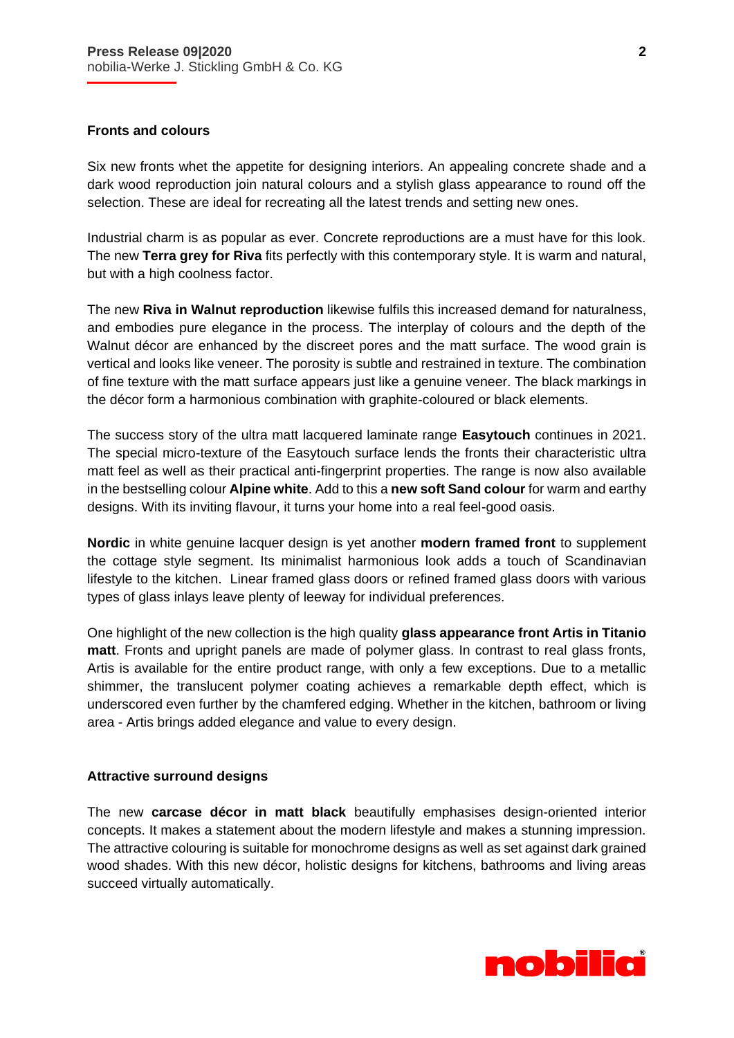#### **Fronts and colours**

İ

Six new fronts whet the appetite for designing interiors. An appealing concrete shade and a dark wood reproduction join natural colours and a stylish glass appearance to round off the selection. These are ideal for recreating all the latest trends and setting new ones.

Industrial charm is as popular as ever. Concrete reproductions are a must have for this look. The new **Terra grey for Riva** fits perfectly with this contemporary style. It is warm and natural, but with a high coolness factor.

The new **Riva in Walnut reproduction** likewise fulfils this increased demand for naturalness, and embodies pure elegance in the process. The interplay of colours and the depth of the Walnut décor are enhanced by the discreet pores and the matt surface. The wood grain is vertical and looks like veneer. The porosity is subtle and restrained in texture. The combination of fine texture with the matt surface appears just like a genuine veneer. The black markings in the décor form a harmonious combination with graphite-coloured or black elements.

The success story of the ultra matt lacquered laminate range **Easytouch** continues in 2021. The special micro-texture of the Easytouch surface lends the fronts their characteristic ultra matt feel as well as their practical anti-fingerprint properties. The range is now also available in the bestselling colour **Alpine white**. Add to this a **new soft Sand colour** for warm and earthy designs. With its inviting flavour, it turns your home into a real feel-good oasis.

**Nordic** in white genuine lacquer design is yet another **modern framed front** to supplement the cottage style segment. Its minimalist harmonious look adds a touch of Scandinavian lifestyle to the kitchen. Linear framed glass doors or refined framed glass doors with various types of glass inlays leave plenty of leeway for individual preferences.

One highlight of the new collection is the high quality **glass appearance front Artis in Titanio matt**. Fronts and upright panels are made of polymer glass. In contrast to real glass fronts, Artis is available for the entire product range, with only a few exceptions. Due to a metallic shimmer, the translucent polymer coating achieves a remarkable depth effect, which is underscored even further by the chamfered edging. Whether in the kitchen, bathroom or living area - Artis brings added elegance and value to every design.

#### **Attractive surround designs**

The new **carcase décor in matt black** beautifully emphasises design-oriented interior concepts. It makes a statement about the modern lifestyle and makes a stunning impression. The attractive colouring is suitable for monochrome designs as well as set against dark grained wood shades. With this new décor, holistic designs for kitchens, bathrooms and living areas succeed virtually automatically.

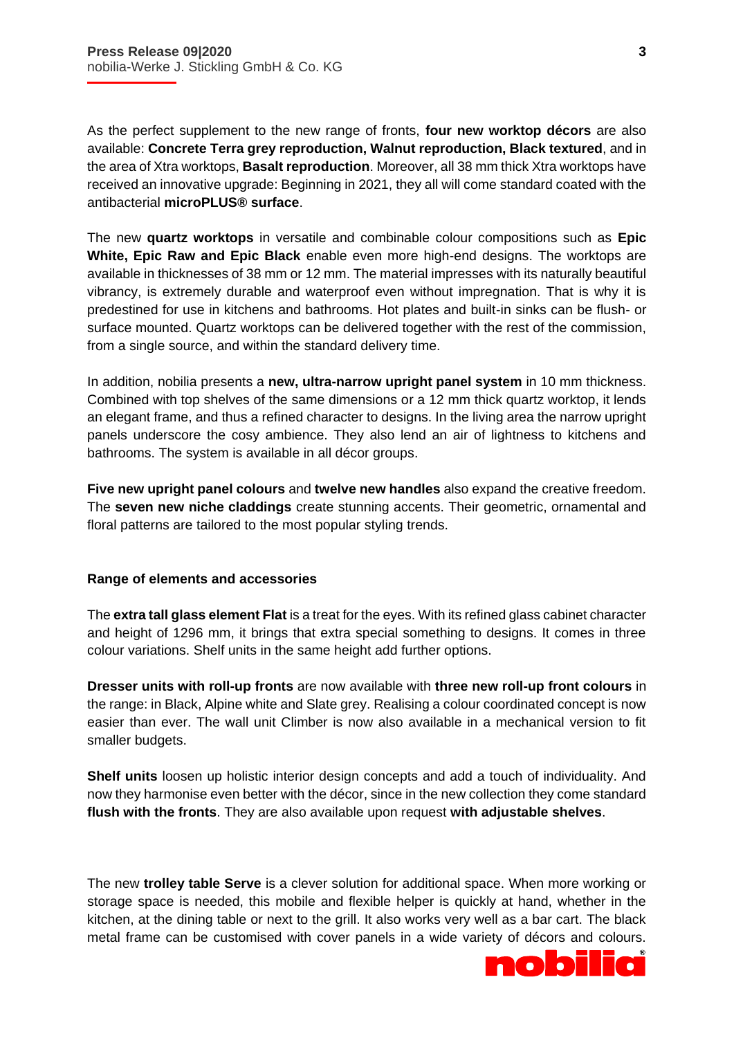İ

As the perfect supplement to the new range of fronts, **four new worktop décors** are also available: **Concrete Terra grey reproduction, Walnut reproduction, Black textured**, and in the area of Xtra worktops, **Basalt reproduction**. Moreover, all 38 mm thick Xtra worktops have received an innovative upgrade: Beginning in 2021, they all will come standard coated with the antibacterial **microPLUS® surface**.

The new **quartz worktops** in versatile and combinable colour compositions such as **Epic White, Epic Raw and Epic Black** enable even more high-end designs. The worktops are available in thicknesses of 38 mm or 12 mm. The material impresses with its naturally beautiful vibrancy, is extremely durable and waterproof even without impregnation. That is why it is predestined for use in kitchens and bathrooms. Hot plates and built-in sinks can be flush- or surface mounted. Quartz worktops can be delivered together with the rest of the commission, from a single source, and within the standard delivery time.

In addition, nobilia presents a **new, ultra-narrow upright panel system** in 10 mm thickness. Combined with top shelves of the same dimensions or a 12 mm thick quartz worktop, it lends an elegant frame, and thus a refined character to designs. In the living area the narrow upright panels underscore the cosy ambience. They also lend an air of lightness to kitchens and bathrooms. The system is available in all décor groups.

**Five new upright panel colours** and **twelve new handles** also expand the creative freedom. The **seven new niche claddings** create stunning accents. Their geometric, ornamental and floral patterns are tailored to the most popular styling trends.

# **Range of elements and accessories**

The **extra tall glass element Flat** is a treat for the eyes. With its refined glass cabinet character and height of 1296 mm, it brings that extra special something to designs. It comes in three colour variations. Shelf units in the same height add further options.

**Dresser units with roll-up fronts** are now available with **three new roll-up front colours** in the range: in Black, Alpine white and Slate grey. Realising a colour coordinated concept is now easier than ever. The wall unit Climber is now also available in a mechanical version to fit smaller budgets.

**Shelf units** loosen up holistic interior design concepts and add a touch of individuality. And now they harmonise even better with the décor, since in the new collection they come standard **flush with the fronts**. They are also available upon request **with adjustable shelves**.

The new **trolley table Serve** is a clever solution for additional space. When more working or storage space is needed, this mobile and flexible helper is quickly at hand, whether in the kitchen, at the dining table or next to the grill. It also works very well as a bar cart. The black metal frame can be customised with cover panels in a wide variety of décors and colours.



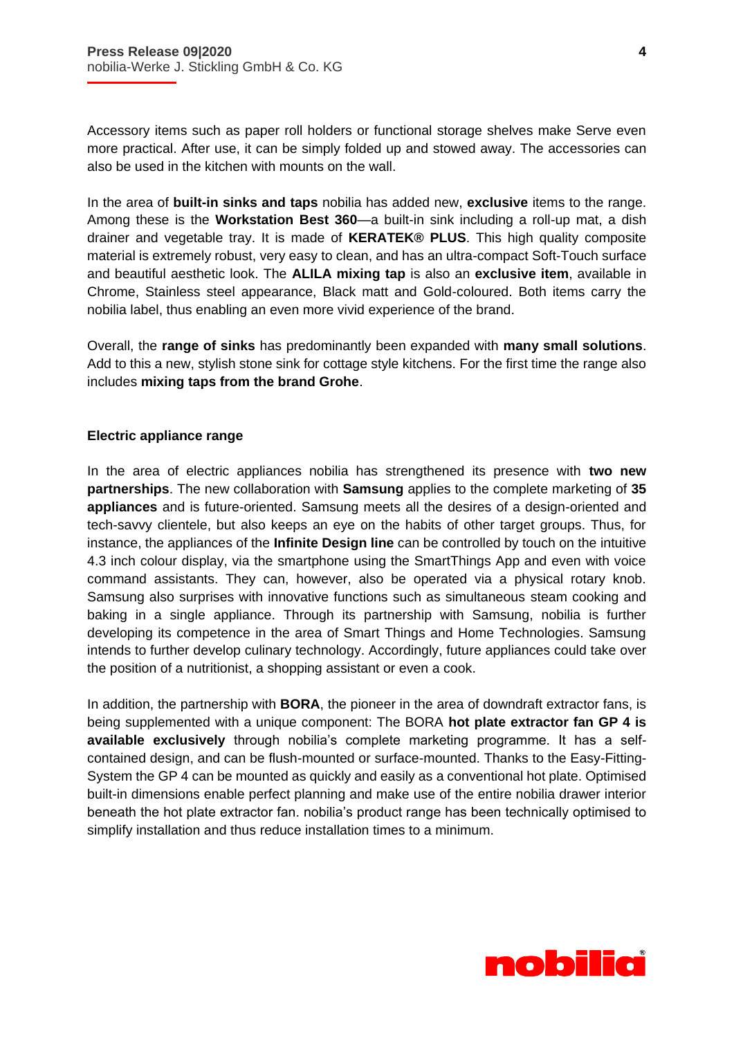İ

Accessory items such as paper roll holders or functional storage shelves make Serve even more practical. After use, it can be simply folded up and stowed away. The accessories can also be used in the kitchen with mounts on the wall.

In the area of **built-in sinks and taps** nobilia has added new, **exclusive** items to the range. Among these is the **Workstation Best 360**—a built-in sink including a roll-up mat, a dish drainer and vegetable tray. It is made of **KERATEK® PLUS**. This high quality composite material is extremely robust, very easy to clean, and has an ultra-compact Soft-Touch surface and beautiful aesthetic look. The **ALILA mixing tap** is also an **exclusive item**, available in Chrome, Stainless steel appearance, Black matt and Gold-coloured. Both items carry the nobilia label, thus enabling an even more vivid experience of the brand.

Overall, the **range of sinks** has predominantly been expanded with **many small solutions**. Add to this a new, stylish stone sink for cottage style kitchens. For the first time the range also includes **mixing taps from the brand Grohe**.

# **Electric appliance range**

In the area of electric appliances nobilia has strengthened its presence with **two new partnerships**. The new collaboration with **Samsung** applies to the complete marketing of **35 appliances** and is future-oriented. Samsung meets all the desires of a design-oriented and tech-savvy clientele, but also keeps an eye on the habits of other target groups. Thus, for instance, the appliances of the **Infinite Design line** can be controlled by touch on the intuitive 4.3 inch colour display, via the smartphone using the SmartThings App and even with voice command assistants. They can, however, also be operated via a physical rotary knob. Samsung also surprises with innovative functions such as simultaneous steam cooking and baking in a single appliance. Through its partnership with Samsung, nobilia is further developing its competence in the area of Smart Things and Home Technologies. Samsung intends to further develop culinary technology. Accordingly, future appliances could take over the position of a nutritionist, a shopping assistant or even a cook.

In addition, the partnership with **BORA**, the pioneer in the area of downdraft extractor fans, is being supplemented with a unique component: The BORA **hot plate extractor fan GP 4 is available exclusively** through nobilia's complete marketing programme. It has a selfcontained design, and can be flush-mounted or surface-mounted. Thanks to the Easy-Fitting-System the GP 4 can be mounted as quickly and easily as a conventional hot plate. Optimised built-in dimensions enable perfect planning and make use of the entire nobilia drawer interior beneath the hot plate extractor fan. nobilia's product range has been technically optimised to simplify installation and thus reduce installation times to a minimum.

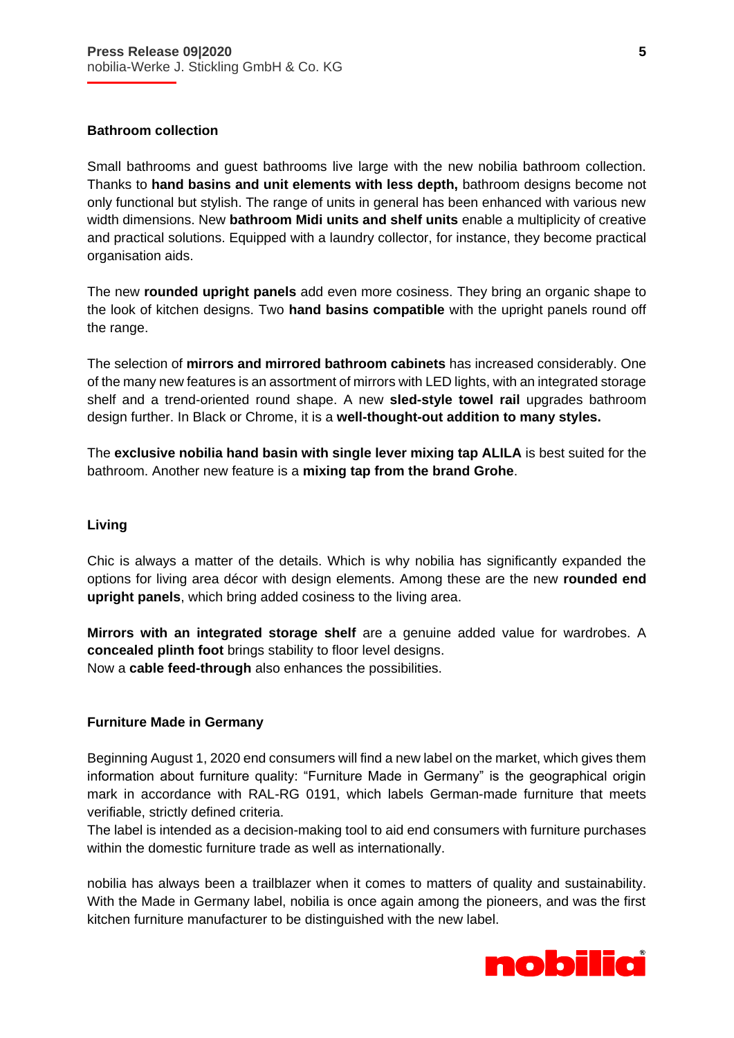# **Bathroom collection**

İ

Small bathrooms and guest bathrooms live large with the new nobilia bathroom collection. Thanks to **hand basins and unit elements with less depth,** bathroom designs become not only functional but stylish. The range of units in general has been enhanced with various new width dimensions. New **bathroom Midi units and shelf units** enable a multiplicity of creative and practical solutions. Equipped with a laundry collector, for instance, they become practical organisation aids.

The new **rounded upright panels** add even more cosiness. They bring an organic shape to the look of kitchen designs. Two **hand basins compatible** with the upright panels round off the range.

The selection of **mirrors and mirrored bathroom cabinets** has increased considerably. One of the many new features is an assortment of mirrors with LED lights, with an integrated storage shelf and a trend-oriented round shape. A new **sled-style towel rail** upgrades bathroom design further. In Black or Chrome, it is a **well-thought-out addition to many styles.** 

The **exclusive nobilia hand basin with single lever mixing tap ALILA** is best suited for the bathroom. Another new feature is a **mixing tap from the brand Grohe**.

# **Living**

Chic is always a matter of the details. Which is why nobilia has significantly expanded the options for living area décor with design elements. Among these are the new **rounded end upright panels**, which bring added cosiness to the living area.

**Mirrors with an integrated storage shelf** are a genuine added value for wardrobes. A **concealed plinth foot** brings stability to floor level designs. Now a **cable feed-through** also enhances the possibilities.

#### **Furniture Made in Germany**

Beginning August 1, 2020 end consumers will find a new label on the market, which gives them information about furniture quality: "Furniture Made in Germany" is the geographical origin mark in accordance with RAL-RG 0191, which labels German-made furniture that meets verifiable, strictly defined criteria.

The label is intended as a decision-making tool to aid end consumers with furniture purchases within the domestic furniture trade as well as internationally.

nobilia has always been a trailblazer when it comes to matters of quality and sustainability. With the Made in Germany label, nobilia is once again among the pioneers, and was the first kitchen furniture manufacturer to be distinguished with the new label.